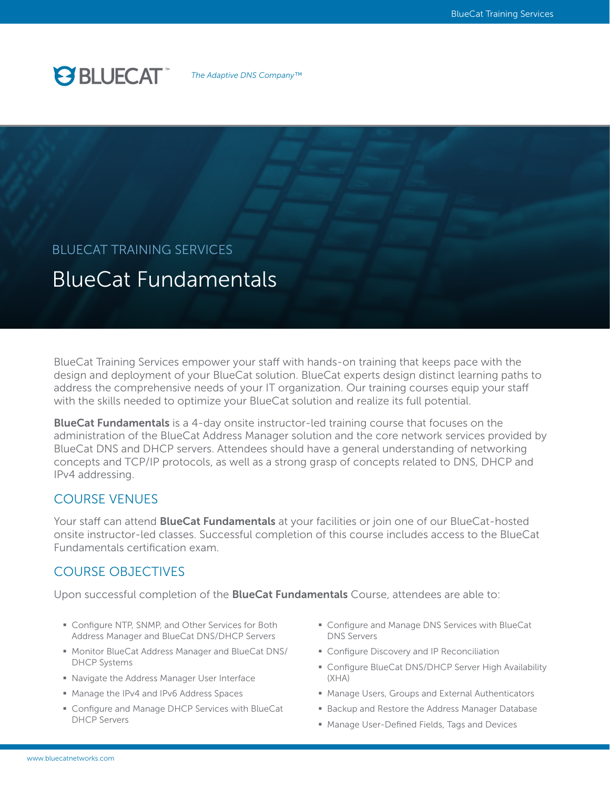

*The Adaptive DNS Company™*

# BLUECAT TRAINING SERVICES

# BlueCat Fundamentals

BlueCat Training Services empower your staff with hands-on training that keeps pace with the design and deployment of your BlueCat solution. BlueCat experts design distinct learning paths to address the comprehensive needs of your IT organization. Our training courses equip your staff with the skills needed to optimize your BlueCat solution and realize its full potential.

**BlueCat Fundamentals** is a 4-day onsite instructor-led training course that focuses on the administration of the BlueCat Address Manager solution and the core network services provided by BlueCat DNS and DHCP servers. Attendees should have a general understanding of networking concepts and TCP/IP protocols, as well as a strong grasp of concepts related to DNS, DHCP and IPv4 addressing.

## COURSE VENUES

Your staff can attend **BlueCat Fundamentals** at your facilities or join one of our BlueCat-hosted onsite instructor-led classes. Successful completion of this course includes access to the BlueCat Fundamentals certification exam.

## COURSE OBJECTIVES

Upon successful completion of the **BlueCat Fundamentals** Course, attendees are able to:

- Configure NTP, SNMP, and Other Services for Both Address Manager and BlueCat DNS/DHCP Servers
- § Monitor BlueCat Address Manager and BlueCat DNS/ DHCP Systems
- Navigate the Address Manager User Interface
- Manage the IPv4 and IPv6 Address Spaces
- Configure and Manage DHCP Services with BlueCat DHCP Servers
- Configure and Manage DNS Services with BlueCat DNS Servers
- **Configure Discovery and IP Reconciliation**
- Configure BlueCat DNS/DHCP Server High Availability (XHA)
- Manage Users, Groups and External Authenticators
- Backup and Restore the Address Manager Database
- Manage User-Defined Fields, Tags and Devices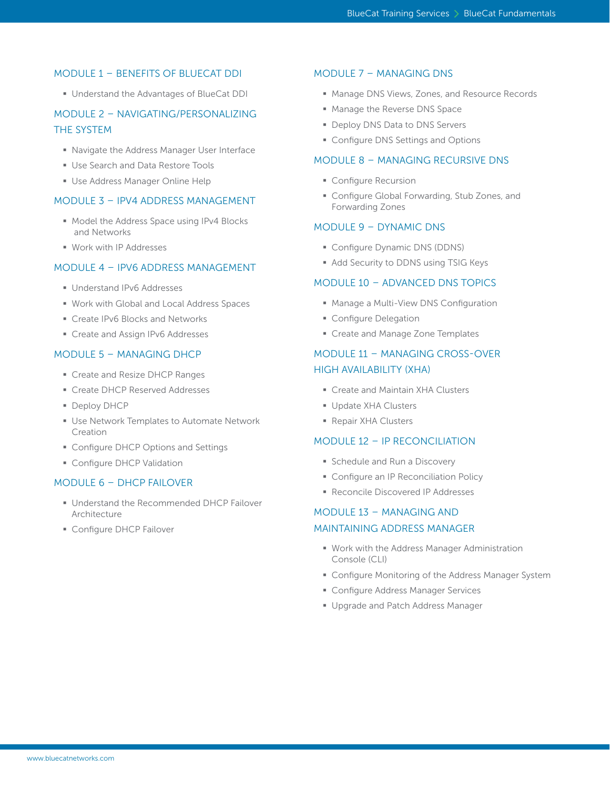#### MODULE 1 – BENEFITS OF BLUECAT DDI

§ Understand the Advantages of BlueCat DDI

## MODULE 2 – NAVIGATING/PERSONALIZING THE SYSTEM

- Navigate the Address Manager User Interface
- Use Search and Data Restore Tools
- **Use Address Manager Online Help**

#### MODULE 3 – IPV4 ADDRESS MANAGEMENT

- Model the Address Space using IPv4 Blocks and Networks
- § Work with IP Addresses

#### MODULE 4 – IPV6 ADDRESS MANAGEMENT

- § Understand IPv6 Addresses
- Work with Global and Local Address Spaces
- Create IPv6 Blocks and Networks
- Create and Assign IPv6 Addresses

#### MODULE 5 – MANAGING DHCP

- Create and Resize DHCP Ranges
- Create DHCP Reserved Addresses
- § Deploy DHCP
- Use Network Templates to Automate Network Creation
- Configure DHCP Options and Settings
- **Configure DHCP Validation**

#### MODULE 6 – DHCP FAILOVER

- Understand the Recommended DHCP Failover Architecture
- **Configure DHCP Failover**

#### MODULE 7 – MANAGING DNS

- Manage DNS Views, Zones, and Resource Records
- **Manage the Reverse DNS Space**
- Deploy DNS Data to DNS Servers
- Configure DNS Settings and Options

#### MODULE 8 – MANAGING RECURSIVE DNS

- **Configure Recursion**
- Configure Global Forwarding, Stub Zones, and Forwarding Zones

#### MODULE 9 – DYNAMIC DNS

- § Configure Dynamic DNS (DDNS)
- Add Security to DDNS using TSIG Keys

#### MODULE 10 – ADVANCED DNS TOPICS

- Manage a Multi-View DNS Configuration
- **Configure Delegation**
- Create and Manage Zone Templates

## MODULE 11 – MANAGING CROSS-OVER HIGH AVAILABILITY (XHA)

- Create and Maintain XHA Clusters
- § Update XHA Clusters
- § Repair XHA Clusters

#### MODULE 12 – IP RECONCILIATION

- **Schedule and Run a Discovery**
- Configure an IP Reconciliation Policy
- Reconcile Discovered IP Addresses

## MODULE 13 – MANAGING AND

#### MAINTAINING ADDRESS MANAGER

- Work with the Address Manager Administration Console (CLI)
- Configure Monitoring of the Address Manager System
- Configure Address Manager Services
- § Upgrade and Patch Address Manager